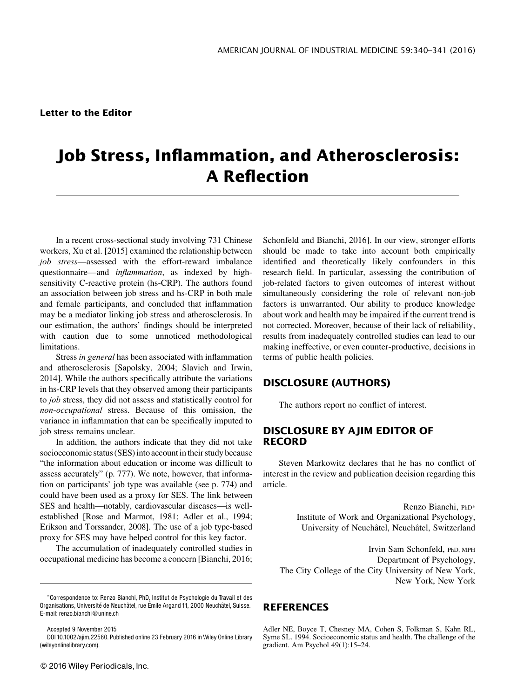## Job Stress, Inflammation, and Atherosclerosis: A Reflection

In a recent cross-sectional study involving 731 Chinese workers, Xu et al. [2015] examined the relationship between job stress—assessed with the effort-reward imbalance questionnaire—and *inflammation*, as indexed by highsensitivity C-reactive protein (hs-CRP). The authors found an association between job stress and hs-CRP in both male and female participants, and concluded that inflammation may be a mediator linking job stress and atherosclerosis. In our estimation, the authors' findings should be interpreted with caution due to some unnoticed methodological limitations.

Stress in general has been associated with inflammation and atherosclerosis [Sapolsky, 2004; Slavich and Irwin, 2014]. While the authors specifically attribute the variations in hs-CRP levels that they observed among their participants to job stress, they did not assess and statistically control for non-occupational stress. Because of this omission, the variance in inflammation that can be specifically imputed to job stress remains unclear.

In addition, the authors indicate that they did not take socioeconomic status (SES) into account in their study because "the information about education or income was difficult to assess accurately" (p. 777). We note, however, that information on participants' job type was available (see p. 774) and could have been used as a proxy for SES. The link between SES and health—notably, cardiovascular diseases—is wellestablished [Rose and Marmot, 1981; Adler et al., 1994; Erikson and Torssander, 2008]. The use of a job type-based proxy for SES may have helped control for this key factor.

The accumulation of inadequately controlled studies in occupational medicine has become a concern [Bianchi, 2016;

Accepted 9 November 2015 DOI 10.1002/ajim.22580. Published online 23 February 2016 in Wiley Online Library (wileyonlinelibrary.com).

Schonfeld and Bianchi, 2016]. In our view, stronger efforts should be made to take into account both empirically identified and theoretically likely confounders in this research field. In particular, assessing the contribution of job-related factors to given outcomes of interest without simultaneously considering the role of relevant non-job factors is unwarranted. Our ability to produce knowledge about work and health may be impaired if the current trend is not corrected. Moreover, because of their lack of reliability, results from inadequately controlled studies can lead to our making ineffective, or even counter-productive, decisions in terms of public health policies.

## DISCLOSURE (AUTHORS)

The authors report no conflict of interest.

## DISCLOSURE BY AJIM EDITOR OF RECORD

Steven Markowitz declares that he has no conflict of interest in the review and publication decision regarding this article.

> Renzo Bianchi, PhD\* Institute of Work and Organizational Psychology, University of Neuch^atel, Neuch^atel, Switzerland

Irvin Sam Schonfeld, PhD, MPH Department of Psychology, The City College of the City University of New York, New York, New York

## **REFERENCES**

Adler NE, Boyce T, Chesney MA, Cohen S, Folkman S, Kahn RL, Syme SL. 1994. Socioeconomic status and health. The challenge of the gradient. Am Psychol 49(1):15–24.

Correspondence to: Renzo Bianchi, PhD, Institut de Psychologie du Travail et des Organisations, Université de Neuchâtel, rue Émile Argand 11, 2000 Neuchâtel, Suisse. E-mail: renzo.bianchi@unine.ch